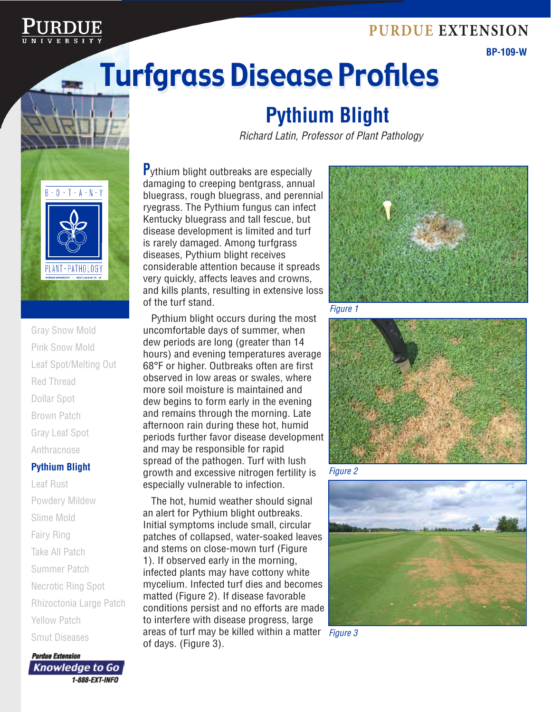### **Purdue Extension**



### **BP-109-W**

# Turfgrass Disease Profiles Turfgrass Disease Profiles



Gray Snow Mold Pink Snow Mold Leaf Spot/Melting Out Red Thread Dollar Spot Brown Patch Gray Leaf Spot Anthracnose

### **Pythium Blight**

Leaf Rust Powdery Mildew Slime Mold Fairy Ring Take All Patch Summer Patch Necrotic Ring Spot Rhizoctonia Large Patch Yellow Patch Smut Diseases

**Purdue Extension** Knowledge to Go 1-888-EXT-INFO

# **Pythium Blight**

*Richard Latin, Professor of Plant Pathology*

**P**ythium blight outbreaks are especially damaging to creeping bentgrass, annual bluegrass, rough bluegrass, and perennial ryegrass. The Pythium fungus can infect Kentucky bluegrass and tall fescue, but disease development is limited and turf is rarely damaged. Among turfgrass diseases, Pythium blight receives considerable attention because it spreads very quickly, affects leaves and crowns, and kills plants, resulting in extensive loss of the turf stand.

Pythium blight occurs during the most uncomfortable days of summer, when dew periods are long (greater than 14 hours) and evening temperatures average 68°F or higher. Outbreaks often are first observed in low areas or swales, where more soil moisture is maintained and dew begins to form early in the evening and remains through the morning. Late afternoon rain during these hot, humid periods further favor disease development and may be responsible for rapid spread of the pathogen. Turf with lush growth and excessive nitrogen fertility is especially vulnerable to infection.

*Figure 3* areas of turf may be killed within a matter The hot, humid weather should signal an alert for Pythium blight outbreaks. Initial symptoms include small, circular patches of collapsed, water-soaked leaves and stems on close-mown turf (Figure 1). If observed early in the morning, infected plants may have cottony white mycelium. Infected turf dies and becomes matted (Figure 2). If disease favorable conditions persist and no efforts are made to interfere with disease progress, large of days. (Figure 3).



*Figure 1*



*Figure 2*